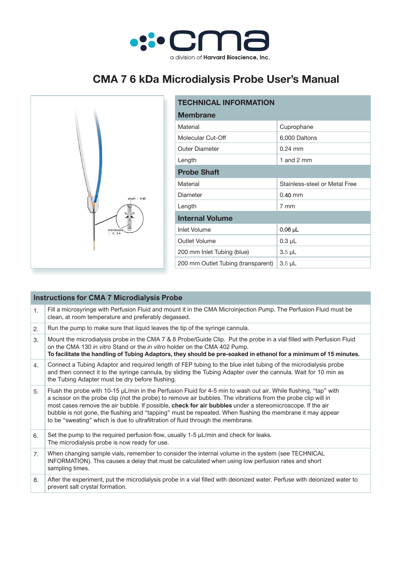

## **CMA 7 6 kDa Microdialysis Probe User's Manual**



| <b>TECHNICAL INFORMATION</b>       |                               |  |  |  |
|------------------------------------|-------------------------------|--|--|--|
| <b>Membrane</b>                    |                               |  |  |  |
| Material                           | Cuprophane                    |  |  |  |
| Molecular Cut-Off                  | 6,000 Daltons                 |  |  |  |
| <b>Outer Diameter</b>              | $0.24$ mm                     |  |  |  |
| Length                             | 1 and 2 mm                    |  |  |  |
| <b>Probe Shaft</b>                 |                               |  |  |  |
| Material                           | Stainless-steel or Metal Free |  |  |  |
| Diameter                           | $0.40$ mm                     |  |  |  |
| Length                             | 7 mm                          |  |  |  |
| <b>Internal Volume</b>             |                               |  |  |  |
| <b>Inlet Volume</b>                | $0.06$ µL                     |  |  |  |
| Outlet Volume                      | $0.3$ $\mu$ L                 |  |  |  |
| 200 mm Inlet Tubing (blue)         | $3.5 \mu L$                   |  |  |  |
| 200 mm Outlet Tubing (transparent) | $3.5 \mu L$                   |  |  |  |

| <b>Instructions for CMA 7 Microdialysis Probe</b> |                                                                                                                                                                                                                                                                                                                                                                                                                                                                                                                                                     |  |  |  |
|---------------------------------------------------|-----------------------------------------------------------------------------------------------------------------------------------------------------------------------------------------------------------------------------------------------------------------------------------------------------------------------------------------------------------------------------------------------------------------------------------------------------------------------------------------------------------------------------------------------------|--|--|--|
| 1.                                                | Fill a microsyringe with Perfusion Fluid and mount it in the CMA Microinjection Pump. The Perfusion Fluid must be<br>clean, at room temperature and preferably degassed.                                                                                                                                                                                                                                                                                                                                                                            |  |  |  |
| 2.                                                | Run the pump to make sure that liquid leaves the tip of the syringe cannula.                                                                                                                                                                                                                                                                                                                                                                                                                                                                        |  |  |  |
| 3.                                                | Mount the microdialysis probe in the CMA 7 & 8 Probe/Guide Clip. Put the probe in a vial filled with Perfusion Fluid<br>on the CMA 130 in vitro Stand or the in vitro holder on the CMA 402 Pump.<br>To facilitate the handling of Tubing Adaptors, they should be pre-soaked in ethanol for a minimum of 15 minutes.                                                                                                                                                                                                                               |  |  |  |
| 4.                                                | Connect a Tubing Adaptor and required length of FEP tubing to the blue inlet tubing of the microdialysis probe<br>and then connect it to the syringe cannula, by sliding the Tubing Adapter over the cannula. Wait for 10 min as<br>the Tubing Adapter must be dry before flushing.                                                                                                                                                                                                                                                                 |  |  |  |
| 5.                                                | Flush the probe with 10-15 $\mu$ L/min in the Perfusion Fluid for 4-5 min to wash out air. While flushing, "tap" with<br>a scissor on the probe clip (not the probe) to remove air bubbles. The vibrations from the probe clip will in<br>most cases remove the air bubble. If possible, check for air bubbles under a stereomicroscope. If the air<br>bubble is not gone, the flushing and "tapping" must be repeated. When flushing the membrane it may appear<br>to be "sweating" which is due to ultrafiltration of fluid through the membrane. |  |  |  |
| 6.                                                | Set the pump to the required perfusion flow, usually $1-5 \mu L/min$ and check for leaks.<br>The microdialysis probe is now ready for use.                                                                                                                                                                                                                                                                                                                                                                                                          |  |  |  |
| 7.                                                | When changing sample vials, remember to consider the internal volume in the system (see TECHNICAL<br>INFORMATION). This causes a delay that must be calculated when using low perfusion rates and short<br>sampling times.                                                                                                                                                                                                                                                                                                                          |  |  |  |
| 8.                                                | After the experiment, put the microdialysis probe in a vial filled with deionized water. Perfuse with deionized water to<br>prevent salt crystal formation.                                                                                                                                                                                                                                                                                                                                                                                         |  |  |  |